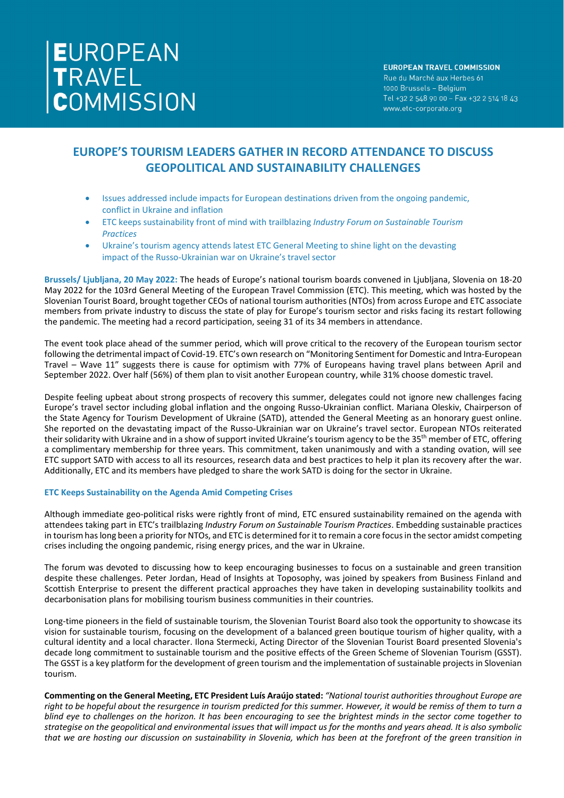# EUROPEAN<br>TRAVEL<br>COMMISSION

### **EUROPEAN TRAVEL COMMISSION** Rue du Marché aux Herbes 61 1000 Brussels - Belgium Tel +32 2 548 90 00 - Fax +32 2 514 18 43 www.etc-corporate.org

# **EUROPE'S TOURISM LEADERS GATHER IN RECORD ATTENDANCE TO DISCUSS GEOPOLITICAL AND SUSTAINABILITY CHALLENGES**

- Issues addressed include impacts for European destinations driven from the ongoing pandemic, conflict in Ukraine and inflation
- ETC keeps sustainability front of mind with trailblazing *Industry Forum on Sustainable Tourism Practices*
- Ukraine's tourism agency attends latest ETC General Meeting to shine light on the devasting impact of the Russo-Ukrainian war on Ukraine's travel sector

**Brussels/ Ljubljana, 20 May 2022:** The heads of Europe's national tourism boards convened in Ljubljana, Slovenia on 18-20 May 2022 for the 103rd General Meeting of the European Travel Commission (ETC). This meeting, which was hosted by the Slovenian Tourist Board, brought together CEOs of national tourism authorities (NTOs) from across Europe and ETC associate members from private industry to discuss the state of play for Europe's tourism sector and risks facing its restart following the pandemic. The meeting had a record participation, seeing 31 of its 34 members in attendance.

The event took place ahead of the summer period, which will prove critical to the recovery of the European tourism sector following the detrimental impact of Covid-19. ETC's own research on "Monitoring Sentiment for Domestic and Intra-European Travel – Wave 11" suggests there is cause for optimism with 77% of Europeans having travel plans between April and September 2022. Over half (56%) of them plan to visit another European country, while 31% choose domestic travel.

Despite feeling upbeat about strong prospects of recovery this summer, delegates could not ignore new challenges facing Europe's travel sector including global inflation and the ongoing Russo-Ukrainian conflict. Mariana Oleskiv, Chairperson of the State Agency for Tourism Development of Ukraine (SATD), attended the General Meeting as an honorary guest online. She reported on the devastating impact of the Russo-Ukrainian war on Ukraine's travel sector. European NTOs reiterated their solidarity with Ukraine and in a show of support invited Ukraine's tourism agency to be the 35<sup>th</sup> member of ETC, offering a complimentary membership for three years. This commitment, taken unanimously and with a standing ovation, will see ETC support SATD with access to all its resources, research data and best practices to help it plan its recovery after the war. Additionally, ETC and its members have pledged to share the work SATD is doing for the sector in Ukraine.

### **ETC Keeps Sustainability on the Agenda Amid Competing Crises**

Although immediate geo-political risks were rightly front of mind, ETC ensured sustainability remained on the agenda with attendees taking part in ETC's trailblazing *Industry Forum on Sustainable Tourism Practices*. Embedding sustainable practices in tourism has long been a priority for NTOs, and ETC is determined for it to remain a core focus in the sector amidst competing crises including the ongoing pandemic, rising energy prices, and the war in Ukraine.

The forum was devoted to discussing how to keep encouraging businesses to focus on a sustainable and green transition despite these challenges. Peter Jordan, Head of Insights at Toposophy, was joined by speakers from Business Finland and Scottish Enterprise to present the different practical approaches they have taken in developing sustainability toolkits and decarbonisation plans for mobilising tourism business communities in their countries.

Long-time pioneers in the field of sustainable tourism, the Slovenian Tourist Board also took the opportunity to showcase its vision for sustainable tourism, focusing on the development of a balanced green boutique tourism of higher quality, with a cultural identity and a local character. Ilona Stermecki, Acting Director of the Slovenian Tourist Board presented Slovenia's decade long commitment to sustainable tourism and the positive effects of the Green Scheme of Slovenian Tourism (GSST). The GSST is a key platform for the development of green tourism and the implementation of sustainable projects in Slovenian tourism.

**Commenting on the General Meeting, ETC President Luís Araújo stated:** *"National tourist authorities throughout Europe are right to be hopeful about the resurgence in tourism predicted for this summer. However, it would be remiss of them to turn a blind eye to challenges on the horizon. It has been encouraging to see the brightest minds in the sector come together to strategise on the geopolitical and environmental issues that will impact us for the months and years ahead. It is also symbolic that we are hosting our discussion on sustainability in Slovenia, which has been at the forefront of the green transition in*